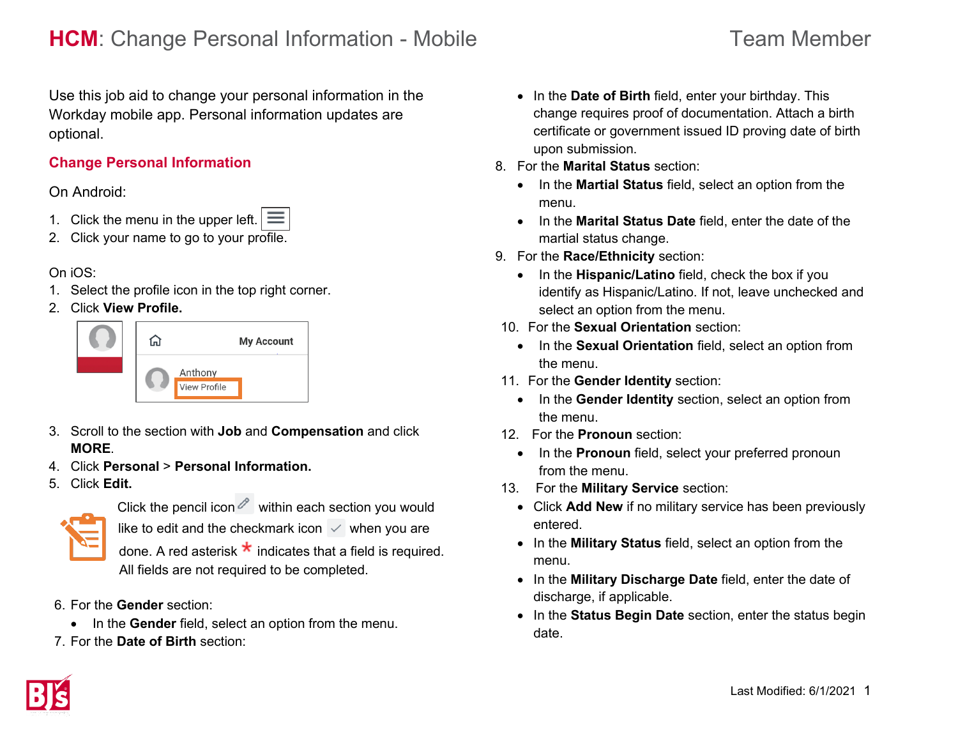# **HCM**: Change Personal Information - Mobile Team Member

Use this job aid to change your personal information in the Workday mobile app. Personal information updates are optional.

## **Change Personal Information**

### On Android:

- 1. Click the menu in the upper left.  $\equiv$
- 2. Click your name to go to your profile.

### On iOS:

- 1. Select the profile icon in the top right corner.
- 2. Click **View Profile.**



- 3. Scroll to the section with **Job** and **Compensation** and click **MORE**.
- 4. Click **Personal** > **Personal Information.**
- 5. Click **Edit.**



Click the pencil icon  $\ell$  within each section you would like to edit and the checkmark icon  $\checkmark$  when you are done. A red asterisk  $\star$  indicates that a field is required. All fields are not required to be completed.

- 6. For the **Gender** section:
	- In the **Gender** field, select an option from the menu.
- 7. For the **Date of Birth** section:
- In the **Date of Birth** field, enter your birthday. This change requires proof of documentation. Attach a birth certificate or government issued ID proving date of birth upon submission.
- 8. For the **Marital Status** section:
	- In the **Martial Status** field, select an option from the menu.
	- In the **Marital Status Date** field, enter the date of the martial status change.
- 9. For the **Race/Ethnicity** section:
	- In the **Hispanic/Latino** field, check the box if you identify as Hispanic/Latino. If not, leave unchecked and select an option from the menu.
- 10. For the **Sexual Orientation** section:
	- In the **Sexual Orientation** field, select an option from the menu.
- 11. For the **Gender Identity** section:
	- In the **Gender Identity** section, select an option from the menu.
- 12. For the **Pronoun** section:
	- In the **Pronoun** field, select your preferred pronoun from the menu.
- 13. For the **Military Service** section:
	- Click **Add New** if no military service has been previously entered.
	- In the **Military Status** field, select an option from the menu.
	- In the **Military Discharge Date** field, enter the date of discharge, if applicable.
	- In the **Status Begin Date** section, enter the status begin date.